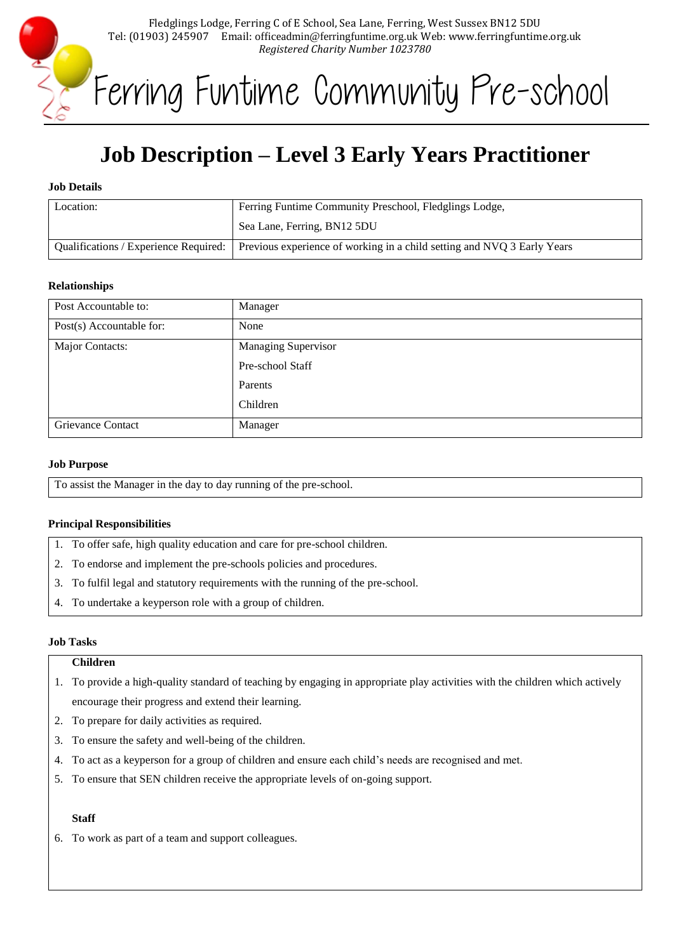

Ferring Funtime Community Pre-school

# **Job Description – Level 3 Early Years Practitioner**

#### **Job Details**

| Location: | Ferring Funtime Community Preschool, Fledglings Lodge,                                                          |
|-----------|-----------------------------------------------------------------------------------------------------------------|
|           | Sea Lane, Ferring, BN12 5DU                                                                                     |
|           | Qualifications / Experience Required:   Previous experience of working in a child setting and NVQ 3 Early Years |

#### **Relationships**

| Post Accountable to:     | Manager                    |
|--------------------------|----------------------------|
| Post(s) Accountable for: | None                       |
| Major Contacts:          | <b>Managing Supervisor</b> |
|                          | Pre-school Staff           |
|                          | Parents                    |
|                          | Children                   |
| <b>Grievance Contact</b> | Manager                    |

#### **Job Purpose**

To assist the Manager in the day to day running of the pre-school.

# **Principal Responsibilities**

- 1. To offer safe, high quality education and care for pre-school children.
- 2. To endorse and implement the pre-schools policies and procedures.
- 3. To fulfil legal and statutory requirements with the running of the pre-school.
- 4. To undertake a keyperson role with a group of children.

#### **Job Tasks**

#### **Children**

- 1. To provide a high-quality standard of teaching by engaging in appropriate play activities with the children which actively encourage their progress and extend their learning.
- 2. To prepare for daily activities as required.
- 3. To ensure the safety and well-being of the children.
- 4. To act as a keyperson for a group of children and ensure each child's needs are recognised and met.
- 5. To ensure that SEN children receive the appropriate levels of on-going support.

# **Staff**

6. To work as part of a team and support colleagues.